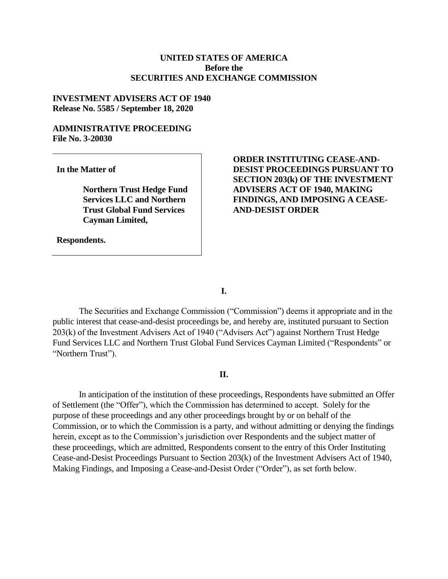### **UNITED STATES OF AMERICA Before the SECURITIES AND EXCHANGE COMMISSION**

#### **INVESTMENT ADVISERS ACT OF 1940 Release No. 5585 / September 18, 2020**

#### **ADMINISTRATIVE PROCEEDING File No. 3-20030**

**In the Matter of**

**Northern Trust Hedge Fund Services LLC and Northern Trust Global Fund Services Cayman Limited,**

**Respondents.**

## **ORDER INSTITUTING CEASE-AND-DESIST PROCEEDINGS PURSUANT TO SECTION 203(k) OF THE INVESTMENT ADVISERS ACT OF 1940, MAKING FINDINGS, AND IMPOSING A CEASE-AND-DESIST ORDER**

**I.**

The Securities and Exchange Commission ("Commission") deems it appropriate and in the public interest that cease-and-desist proceedings be, and hereby are, instituted pursuant to Section 203(k) of the Investment Advisers Act of 1940 ("Advisers Act") against Northern Trust Hedge Fund Services LLC and Northern Trust Global Fund Services Cayman Limited ("Respondents" or "Northern Trust").

### **II.**

In anticipation of the institution of these proceedings, Respondents have submitted an Offer of Settlement (the "Offer"), which the Commission has determined to accept. Solely for the purpose of these proceedings and any other proceedings brought by or on behalf of the Commission, or to which the Commission is a party, and without admitting or denying the findings herein, except as to the Commission's jurisdiction over Respondents and the subject matter of these proceedings, which are admitted, Respondents consent to the entry of this Order Instituting Cease-and-Desist Proceedings Pursuant to Section 203(k) of the Investment Advisers Act of 1940, Making Findings, and Imposing a Cease-and-Desist Order ("Order"), as set forth below.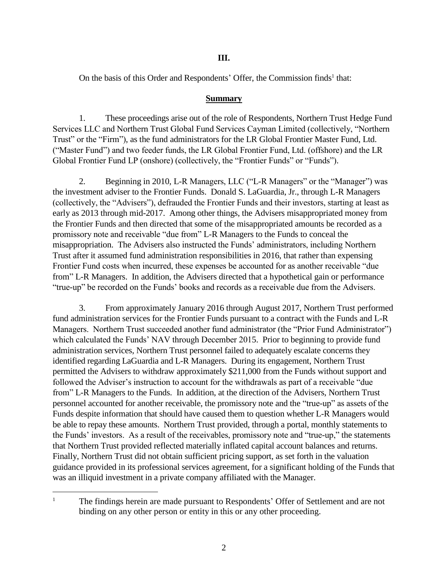### **III.**

On the basis of this Order and Respondents' Offer, the Commission finds<sup>1</sup> that:

#### **Summary**

1. These proceedings arise out of the role of Respondents, Northern Trust Hedge Fund Services LLC and Northern Trust Global Fund Services Cayman Limited (collectively, "Northern Trust" or the "Firm"), as the fund administrators for the LR Global Frontier Master Fund, Ltd. ("Master Fund") and two feeder funds, the LR Global Frontier Fund, Ltd. (offshore) and the LR Global Frontier Fund LP (onshore) (collectively, the "Frontier Funds" or "Funds").

2. Beginning in 2010, L-R Managers, LLC ("L-R Managers" or the "Manager") was the investment adviser to the Frontier Funds. Donald S. LaGuardia, Jr., through L-R Managers (collectively, the "Advisers"), defrauded the Frontier Funds and their investors, starting at least as early as 2013 through mid-2017. Among other things, the Advisers misappropriated money from the Frontier Funds and then directed that some of the misappropriated amounts be recorded as a promissory note and receivable "due from" L-R Managers to the Funds to conceal the misappropriation. The Advisers also instructed the Funds' administrators, including Northern Trust after it assumed fund administration responsibilities in 2016, that rather than expensing Frontier Fund costs when incurred, these expenses be accounted for as another receivable "due from" L-R Managers. In addition, the Advisers directed that a hypothetical gain or performance "true-up" be recorded on the Funds' books and records as a receivable due from the Advisers.

3. From approximately January 2016 through August 2017, Northern Trust performed fund administration services for the Frontier Funds pursuant to a contract with the Funds and L-R Managers. Northern Trust succeeded another fund administrator (the "Prior Fund Administrator") which calculated the Funds' NAV through December 2015. Prior to beginning to provide fund administration services, Northern Trust personnel failed to adequately escalate concerns they identified regarding LaGuardia and L-R Managers. During its engagement, Northern Trust permitted the Advisers to withdraw approximately \$211,000 from the Funds without support and followed the Adviser's instruction to account for the withdrawals as part of a receivable "due from" L-R Managers to the Funds. In addition, at the direction of the Advisers, Northern Trust personnel accounted for another receivable, the promissory note and the "true-up" as assets of the Funds despite information that should have caused them to question whether L-R Managers would be able to repay these amounts. Northern Trust provided, through a portal, monthly statements to the Funds' investors. As a result of the receivables, promissory note and "true-up," the statements that Northern Trust provided reflected materially inflated capital account balances and returns. Finally, Northern Trust did not obtain sufficient pricing support, as set forth in the valuation guidance provided in its professional services agreement, for a significant holding of the Funds that was an illiquid investment in a private company affiliated with the Manager.

 $\overline{a}$ 

<sup>&</sup>lt;sup>1</sup> The findings herein are made pursuant to Respondents' Offer of Settlement and are not binding on any other person or entity in this or any other proceeding.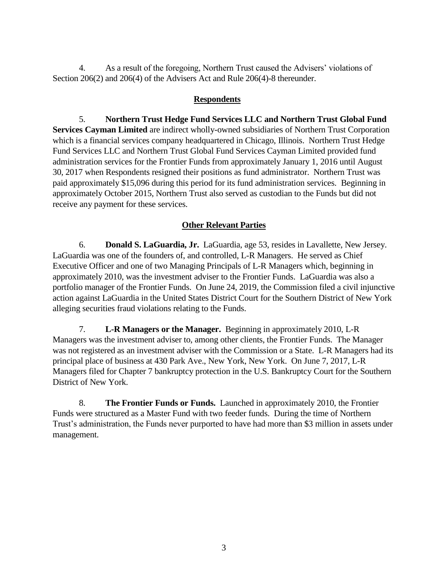4. As a result of the foregoing, Northern Trust caused the Advisers' violations of Section 206(2) and 206(4) of the Advisers Act and Rule 206(4)-8 thereunder.

## **Respondents**

5. **Northern Trust Hedge Fund Services LLC and Northern Trust Global Fund Services Cayman Limited** are indirect wholly-owned subsidiaries of Northern Trust Corporation which is a [financial services](https://en.wikipedia.org/wiki/Financial_services) company headquartered in [Chicago, Illinois.](https://en.wikipedia.org/wiki/Chicago,_Illinois) Northern Trust Hedge Fund Services LLC and Northern Trust Global Fund Services Cayman Limited provided fund administration services for the Frontier Funds from approximately January 1, 2016 until August 30, 2017 when Respondents resigned their positions as fund administrator. Northern Trust was paid approximately \$15,096 during this period for its fund administration services. Beginning in approximately October 2015, Northern Trust also served as custodian to the Funds but did not receive any payment for these services.

# **Other Relevant Parties**

6. **Donald S. LaGuardia, Jr.** LaGuardia, age 53, resides in Lavallette, New Jersey. LaGuardia was one of the founders of, and controlled, L-R Managers. He served as Chief Executive Officer and one of two Managing Principals of L-R Managers which, beginning in approximately 2010, was the investment adviser to the Frontier Funds. LaGuardia was also a portfolio manager of the Frontier Funds. On June 24, 2019, the Commission filed a civil injunctive action against LaGuardia in the United States District Court for the Southern District of New York alleging securities fraud violations relating to the Funds.

7. **L-R Managers or the Manager.** Beginning in approximately 2010, L-R Managers was the investment adviser to, among other clients, the Frontier Funds. The Manager was not registered as an investment adviser with the Commission or a State. L-R Managers had its principal place of business at 430 Park Ave., New York, New York. On June 7, 2017, L-R Managers filed for Chapter 7 bankruptcy protection in the U.S. Bankruptcy Court for the Southern District of New York.

8. **The Frontier Funds or Funds.** Launched in approximately 2010, the Frontier Funds were structured as a Master Fund with two feeder funds. During the time of Northern Trust's administration, the Funds never purported to have had more than \$3 million in assets under management.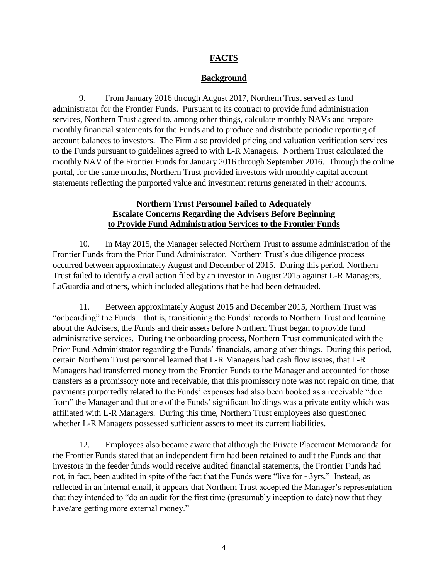# **FACTS**

## **Background**

9. From January 2016 through August 2017, Northern Trust served as fund administrator for the Frontier Funds. Pursuant to its contract to provide fund administration services, Northern Trust agreed to, among other things, calculate monthly NAVs and prepare monthly financial statements for the Funds and to produce and distribute periodic reporting of account balances to investors. The Firm also provided pricing and valuation verification services to the Funds pursuant to guidelines agreed to with L-R Managers. Northern Trust calculated the monthly NAV of the Frontier Funds for January 2016 through September 2016. Through the online portal, for the same months, Northern Trust provided investors with monthly capital account statements reflecting the purported value and investment returns generated in their accounts.

## **Northern Trust Personnel Failed to Adequately Escalate Concerns Regarding the Advisers Before Beginning to Provide Fund Administration Services to the Frontier Funds**

10. In May 2015, the Manager selected Northern Trust to assume administration of the Frontier Funds from the Prior Fund Administrator. Northern Trust's due diligence process occurred between approximately August and December of 2015. During this period, Northern Trust failed to identify a civil action filed by an investor in August 2015 against L-R Managers, LaGuardia and others, which included allegations that he had been defrauded.

11. Between approximately August 2015 and December 2015, Northern Trust was "onboarding" the Funds – that is, transitioning the Funds' records to Northern Trust and learning about the Advisers, the Funds and their assets before Northern Trust began to provide fund administrative services. During the onboarding process, Northern Trust communicated with the Prior Fund Administrator regarding the Funds' financials, among other things. During this period, certain Northern Trust personnel learned that L-R Managers had cash flow issues, that L-R Managers had transferred money from the Frontier Funds to the Manager and accounted for those transfers as a promissory note and receivable, that this promissory note was not repaid on time, that payments purportedly related to the Funds' expenses had also been booked as a receivable "due from" the Manager and that one of the Funds' significant holdings was a private entity which was affiliated with L-R Managers. During this time, Northern Trust employees also questioned whether L-R Managers possessed sufficient assets to meet its current liabilities.

12. Employees also became aware that although the Private Placement Memoranda for the Frontier Funds stated that an independent firm had been retained to audit the Funds and that investors in the feeder funds would receive audited financial statements, the Frontier Funds had not, in fact, been audited in spite of the fact that the Funds were "live for  $\sim$ 3yrs." Instead, as reflected in an internal email, it appears that Northern Trust accepted the Manager's representation that they intended to "do an audit for the first time (presumably inception to date) now that they have/are getting more external money."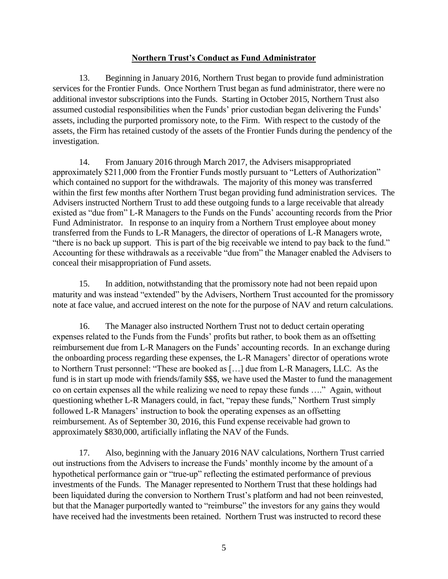## **Northern Trust's Conduct as Fund Administrator**

13. Beginning in January 2016, Northern Trust began to provide fund administration services for the Frontier Funds. Once Northern Trust began as fund administrator, there were no additional investor subscriptions into the Funds. Starting in October 2015, Northern Trust also assumed custodial responsibilities when the Funds' prior custodian began delivering the Funds' assets, including the purported promissory note, to the Firm. With respect to the custody of the assets, the Firm has retained custody of the assets of the Frontier Funds during the pendency of the investigation.

14. From January 2016 through March 2017, the Advisers misappropriated approximately \$211,000 from the Frontier Funds mostly pursuant to "Letters of Authorization" which contained no support for the withdrawals. The majority of this money was transferred within the first few months after Northern Trust began providing fund administration services. The Advisers instructed Northern Trust to add these outgoing funds to a large receivable that already existed as "due from" L-R Managers to the Funds on the Funds' accounting records from the Prior Fund Administrator. In response to an inquiry from a Northern Trust employee about money transferred from the Funds to L-R Managers, the director of operations of L-R Managers wrote, "there is no back up support. This is part of the big receivable we intend to pay back to the fund." Accounting for these withdrawals as a receivable "due from" the Manager enabled the Advisers to conceal their misappropriation of Fund assets.

15. In addition, notwithstanding that the promissory note had not been repaid upon maturity and was instead "extended" by the Advisers, Northern Trust accounted for the promissory note at face value, and accrued interest on the note for the purpose of NAV and return calculations.

16. The Manager also instructed Northern Trust not to deduct certain operating expenses related to the Funds from the Funds' profits but rather, to book them as an offsetting reimbursement due from L-R Managers on the Funds' accounting records. In an exchange during the onboarding process regarding these expenses, the L-R Managers' director of operations wrote to Northern Trust personnel: "These are booked as […] due from L-R Managers, LLC. As the fund is in start up mode with friends/family \$\$\$, we have used the Master to fund the management co on certain expenses all the while realizing we need to repay these funds …." Again, without questioning whether L-R Managers could, in fact, "repay these funds," Northern Trust simply followed L-R Managers' instruction to book the operating expenses as an offsetting reimbursement. As of September 30, 2016, this Fund expense receivable had grown to approximately \$830,000, artificially inflating the NAV of the Funds.

17. Also, beginning with the January 2016 NAV calculations, Northern Trust carried out instructions from the Advisers to increase the Funds' monthly income by the amount of a hypothetical performance gain or "true-up" reflecting the estimated performance of previous investments of the Funds. The Manager represented to Northern Trust that these holdings had been liquidated during the conversion to Northern Trust's platform and had not been reinvested, but that the Manager purportedly wanted to "reimburse" the investors for any gains they would have received had the investments been retained. Northern Trust was instructed to record these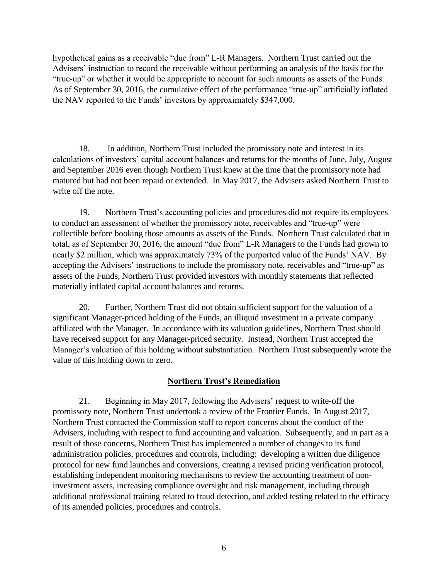hypothetical gains as a receivable "due from" L-R Managers. Northern Trust carried out the Advisers' instruction to record the receivable without performing an analysis of the basis for the "true-up" or whether it would be appropriate to account for such amounts as assets of the Funds. As of September 30, 2016, the cumulative effect of the performance "true-up" artificially inflated the NAV reported to the Funds' investors by approximately \$347,000.

18. In addition, Northern Trust included the promissory note and interest in its calculations of investors' capital account balances and returns for the months of June, July, August and September 2016 even though Northern Trust knew at the time that the promissory note had matured but had not been repaid or extended. In May 2017, the Advisers asked Northern Trust to write off the note.

19. Northern Trust's accounting policies and procedures did not require its employees to conduct an assessment of whether the promissory note, receivables and "true-up" were collectible before booking those amounts as assets of the Funds. Northern Trust calculated that in total, as of September 30, 2016, the amount "due from" L-R Managers to the Funds had grown to nearly \$2 million, which was approximately 73% of the purported value of the Funds' NAV. By accepting the Advisers' instructions to include the promissory note, receivables and "true-up" as assets of the Funds, Northern Trust provided investors with monthly statements that reflected materially inflated capital account balances and returns.

20. Further, Northern Trust did not obtain sufficient support for the valuation of a significant Manager-priced holding of the Funds, an illiquid investment in a private company affiliated with the Manager. In accordance with its valuation guidelines, Northern Trust should have received support for any Manager-priced security. Instead, Northern Trust accepted the Manager's valuation of this holding without substantiation. Northern Trust subsequently wrote the value of this holding down to zero.

## **Northern Trust's Remediation**

21. Beginning in May 2017, following the Advisers' request to write-off the promissory note, Northern Trust undertook a review of the Frontier Funds. In August 2017, Northern Trust contacted the Commission staff to report concerns about the conduct of the Advisers, including with respect to fund accounting and valuation. Subsequently, and in part as a result of those concerns, Northern Trust has implemented a number of changes to its fund administration policies, procedures and controls, including: developing a written due diligence protocol for new fund launches and conversions, creating a revised pricing verification protocol, establishing independent monitoring mechanisms to review the accounting treatment of noninvestment assets, increasing compliance oversight and risk management, including through additional professional training related to fraud detection, and added testing related to the efficacy of its amended policies, procedures and controls.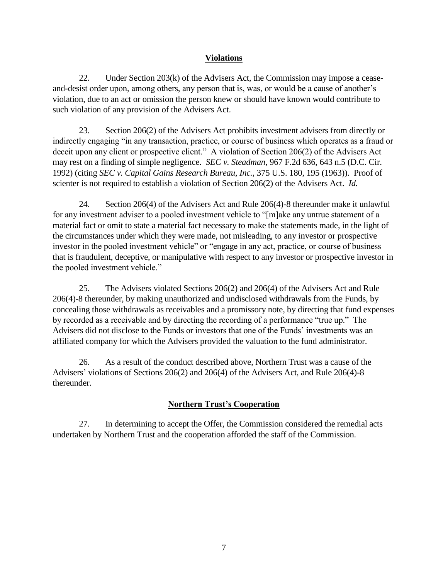## **Violations**

22. Under Section 203(k) of the Advisers Act, the Commission may impose a ceaseand-desist order upon, among others, any person that is, was, or would be a cause of another's violation, due to an act or omission the person knew or should have known would contribute to such violation of any provision of the Advisers Act.

23. Section 206(2) of the Advisers Act prohibits investment advisers from directly or indirectly engaging "in any transaction, practice, or course of business which operates as a fraud or deceit upon any client or prospective client." A violation of Section 206(2) of the Advisers Act may rest on a finding of simple negligence. *SEC v. Steadman*, 967 F.2d 636, 643 n.5 (D.C. Cir. 1992) (citing *SEC v. Capital Gains Research Bureau, Inc.*, 375 U.S. 180, 195 (1963)). Proof of scienter is not required to establish a violation of Section 206(2) of the Advisers Act. *Id.* 

24. Section 206(4) of the Advisers Act and Rule 206(4)-8 thereunder make it unlawful for any investment adviser to a pooled investment vehicle to "[m]ake any untrue statement of a material fact or omit to state a material fact necessary to make the statements made, in the light of the circumstances under which they were made, not misleading, to any investor or prospective investor in the pooled investment vehicle" or "engage in any act, practice, or course of business that is fraudulent, deceptive, or manipulative with respect to any investor or prospective investor in the pooled investment vehicle."

25. The Advisers violated Sections 206(2) and 206(4) of the Advisers Act and Rule 206(4)-8 thereunder, by making unauthorized and undisclosed withdrawals from the Funds, by concealing those withdrawals as receivables and a promissory note, by directing that fund expenses by recorded as a receivable and by directing the recording of a performance "true up." The Advisers did not disclose to the Funds or investors that one of the Funds' investments was an affiliated company for which the Advisers provided the valuation to the fund administrator.

26. As a result of the conduct described above, Northern Trust was a cause of the Advisers' violations of Sections 206(2) and 206(4) of the Advisers Act, and Rule 206(4)-8 thereunder.

# **Northern Trust's Cooperation**

27. In determining to accept the Offer, the Commission considered the remedial acts undertaken by Northern Trust and the cooperation afforded the staff of the Commission.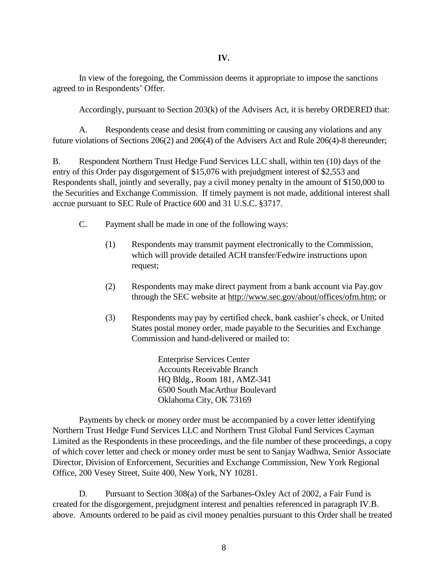In view of the foregoing, the Commission deems it appropriate to impose the sanctions agreed to in Respondents' Offer.

Accordingly, pursuant to Section 203(k) of the Advisers Act, it is hereby ORDERED that:

A. Respondents cease and desist from committing or causing any violations and any future violations of Sections 206(2) and 206(4) of the Advisers Act and Rule 206(4)-8 thereunder;

B. Respondent Northern Trust Hedge Fund Services LLC shall, within ten (10) days of the entry of this Order pay disgorgement of \$15,076 with prejudgment interest of \$2,553 and Respondents shall, jointly and severally, pay a civil money penalty in the amount of \$150,000 to the Securities and Exchange Commission. If timely payment is not made, additional interest shall accrue pursuant to SEC Rule of Practice 600 and 31 U.S.C. §3717.

- C. Payment shall be made in one of the following ways:
	- (1) Respondents may transmit payment electronically to the Commission, which will provide detailed ACH transfer/Fedwire instructions upon request;
	- (2) Respondents may make direct payment from a bank account via Pay.gov through the SEC website at [http://www.sec.gov/about/offices/ofm.htm;](http://www.sec.gov/about/offices/ofm.htm) or
	- (3) Respondents may pay by certified check, bank cashier's check, or United States postal money order, made payable to the Securities and Exchange Commission and hand-delivered or mailed to:

Enterprise Services Center Accounts Receivable Branch HQ Bldg., Room 181, AMZ-341 6500 South MacArthur Boulevard Oklahoma City, OK 73169

Payments by check or money order must be accompanied by a cover letter identifying Northern Trust Hedge Fund Services LLC and Northern Trust Global Fund Services Cayman Limited as the Respondents in these proceedings, and the file number of these proceedings, a copy of which cover letter and check or money order must be sent to Sanjay Wadhwa, Senior Associate Director, Division of Enforcement, Securities and Exchange Commission, New York Regional Office, 200 Vesey Street, Suite 400, New York, NY 10281.

D. Pursuant to Section 308(a) of the Sarbanes-Oxley Act of 2002, a Fair Fund is created for the disgorgement, prejudgment interest and penalties referenced in paragraph IV.B. above. Amounts ordered to be paid as civil money penalties pursuant to this Order shall be treated